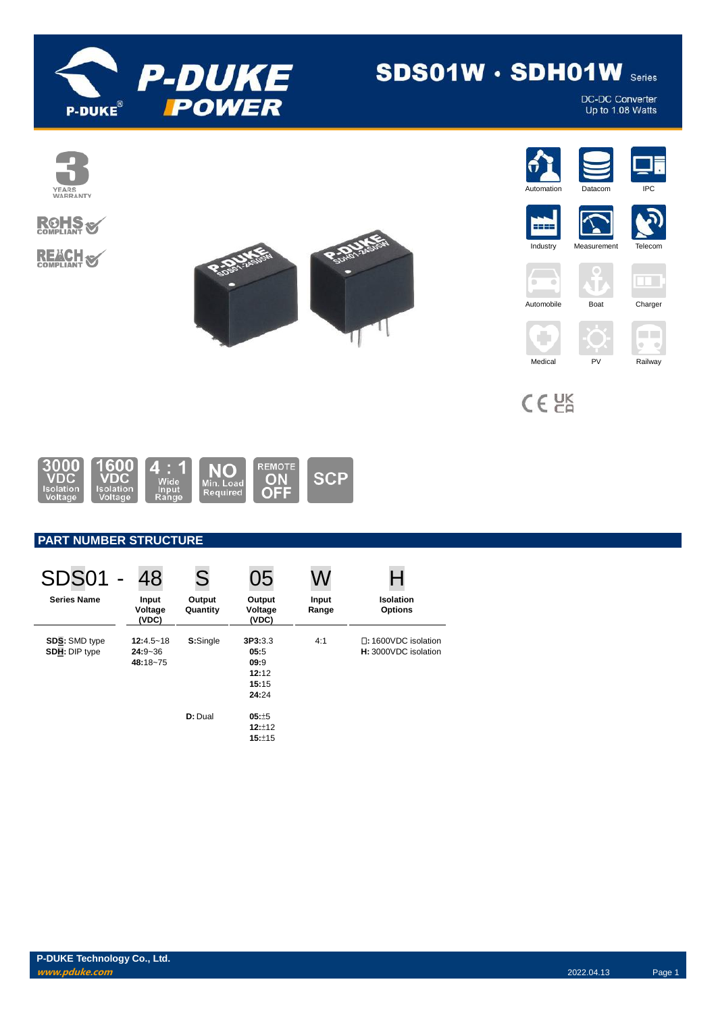

# **SDS01W · SDH01W Series**

DC-DC Converter<br>Up to 1.08 Watts

















٠

 $C \in \mathcal{C}^{\text{K}}_{\text{R}}$ 











1600<br>VDC 000 REMOTE Δ NΟ **ON**<br>OFF **SCP** 'DC Min. Load<br>Required

# **PART NUMBER STRUCTURE**

| <b>SDS01 -</b>                               | 48                                       | S                  | 05                                                 | W              |                                    |                                                    |
|----------------------------------------------|------------------------------------------|--------------------|----------------------------------------------------|----------------|------------------------------------|----------------------------------------------------|
| <b>Series Name</b>                           | Input<br>Voltage<br>(VDC)                | Output<br>Quantity | Output<br>Voltage<br>(VDC)                         | Input<br>Range | <b>Isolation</b><br><b>Options</b> |                                                    |
| <b>SDS: SMD type</b><br><b>SDH: DIP type</b> | $12:4.5 - 18$<br>$24:9 - 36$<br>48:18~75 | S:Single           | 3P3:3.3<br>05:5<br>09:9<br>12:12<br>15:15<br>24:24 | 4:1            |                                    | $\Box$ : 1600VDC isolation<br>H: 3000VDC isolation |
|                                              |                                          | D: Dual            | $05: +5$<br>12:12<br>15:±15                        |                |                                    |                                                    |

**P-DUKE Technology Co., Ltd. www.pduke.com** 2022.04.13 Page 1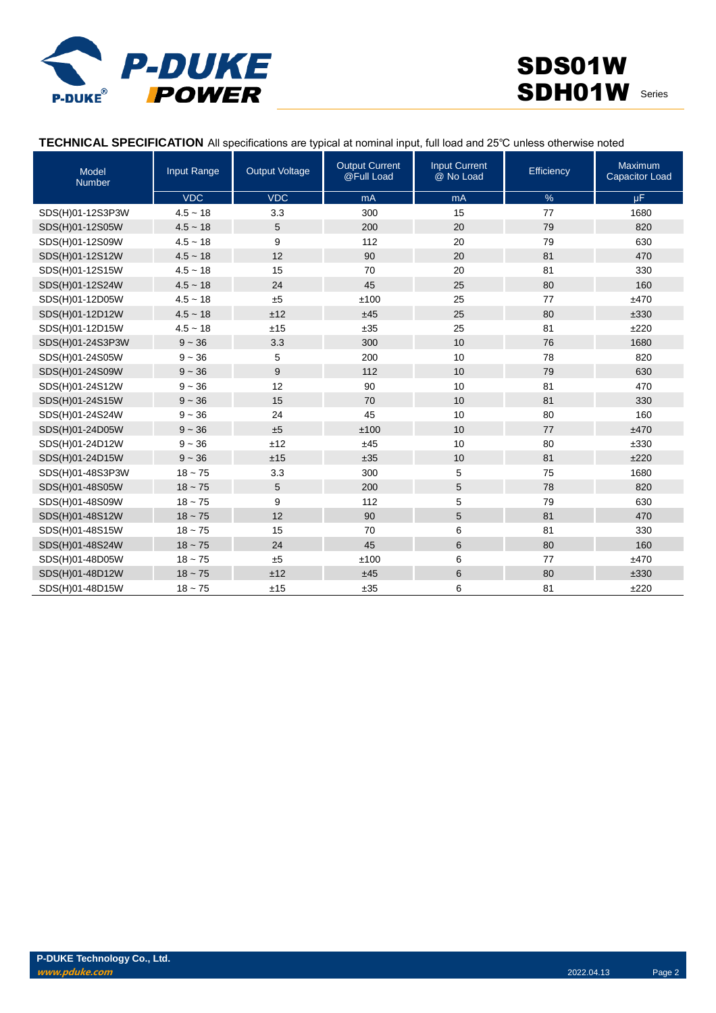

# **TECHNICAL SPECIFICATION** All specifications are typical at nominal input, full load and 25℃ unless otherwise noted

| Model<br><b>Number</b> | Input Range | <b>Output Voltage</b> | <b>Output Current</b><br>@Full Load | <b>Input Current</b><br>@ No Load | Efficiency | Maximum<br><b>Capacitor Load</b> |
|------------------------|-------------|-----------------------|-------------------------------------|-----------------------------------|------------|----------------------------------|
|                        | <b>VDC</b>  | <b>VDC</b>            | mA                                  | mA                                | $\%$       | μF                               |
| SDS(H)01-12S3P3W       | $4.5 - 18$  | 3.3                   | 300                                 | 15                                | 77         | 1680                             |
| SDS(H)01-12S05W        | $4.5 - 18$  | 5                     | 200                                 | 20                                | 79         | 820                              |
| SDS(H)01-12S09W        | $4.5 - 18$  | 9                     | 112                                 | 20                                | 79         | 630                              |
| SDS(H)01-12S12W        | $4.5 - 18$  | 12                    | 90                                  | 20                                | 81         | 470                              |
| SDS(H)01-12S15W        | $4.5 - 18$  | 15                    | 70                                  | 20                                | 81         | 330                              |
| SDS(H)01-12S24W        | $4.5 - 18$  | 24                    | 45                                  | 25                                | 80         | 160                              |
| SDS(H)01-12D05W        | $4.5 - 18$  | ±5                    | ±100                                | 25                                | 77         | ±470                             |
| SDS(H)01-12D12W        | $4.5 - 18$  | ±12                   | ±45                                 | 25                                | 80         | ±330                             |
| SDS(H)01-12D15W        | $4.5 - 18$  | ±15                   | ±35                                 | 25                                | 81         | ±220                             |
| SDS(H)01-24S3P3W       | $9 - 36$    | 3.3                   | 300                                 | 10                                | 76         | 1680                             |
| SDS(H)01-24S05W        | $9 - 36$    | 5                     | 200                                 | 10                                | 78         | 820                              |
| SDS(H)01-24S09W        | $9 - 36$    | 9                     | 112                                 | 10                                | 79         | 630                              |
| SDS(H)01-24S12W        | $9 - 36$    | 12                    | 90                                  | 10                                | 81         | 470                              |
| SDS(H)01-24S15W        | $9 - 36$    | 15                    | 70                                  | 10                                | 81         | 330                              |
| SDS(H)01-24S24W        | $9 - 36$    | 24                    | 45                                  | 10                                | 80         | 160                              |
| SDS(H)01-24D05W        | $9 - 36$    | ±5                    | ±100                                | 10                                | 77         | ±470                             |
| SDS(H)01-24D12W        | $9 - 36$    | ±12                   | ±45                                 | 10                                | 80         | ±330                             |
| SDS(H)01-24D15W        | $9 - 36$    | ±15                   | ±35                                 | 10                                | 81         | ±220                             |
| SDS(H)01-48S3P3W       | $18 - 75$   | 3.3                   | 300                                 | 5                                 | 75         | 1680                             |
| SDS(H)01-48S05W        | $18 - 75$   | 5                     | 200                                 | 5                                 | 78         | 820                              |
| SDS(H)01-48S09W        | $18 - 75$   | 9                     | 112                                 | 5                                 | 79         | 630                              |
| SDS(H)01-48S12W        | $18 - 75$   | 12                    | 90                                  | 5                                 | 81         | 470                              |
| SDS(H)01-48S15W        | $18 - 75$   | 15                    | 70                                  | 6                                 | 81         | 330                              |
| SDS(H)01-48S24W        | $18 - 75$   | 24                    | 45                                  | 6                                 | 80         | 160                              |
| SDS(H)01-48D05W        | $18 - 75$   | ±5                    | ±100                                | 6                                 | 77         | ±470                             |
| SDS(H)01-48D12W        | $18 - 75$   | ±12                   | ±45                                 | 6                                 | 80         | ±330                             |
| SDS(H)01-48D15W        | $18 - 75$   | ±15                   | ±35                                 | 6                                 | 81         | ±220                             |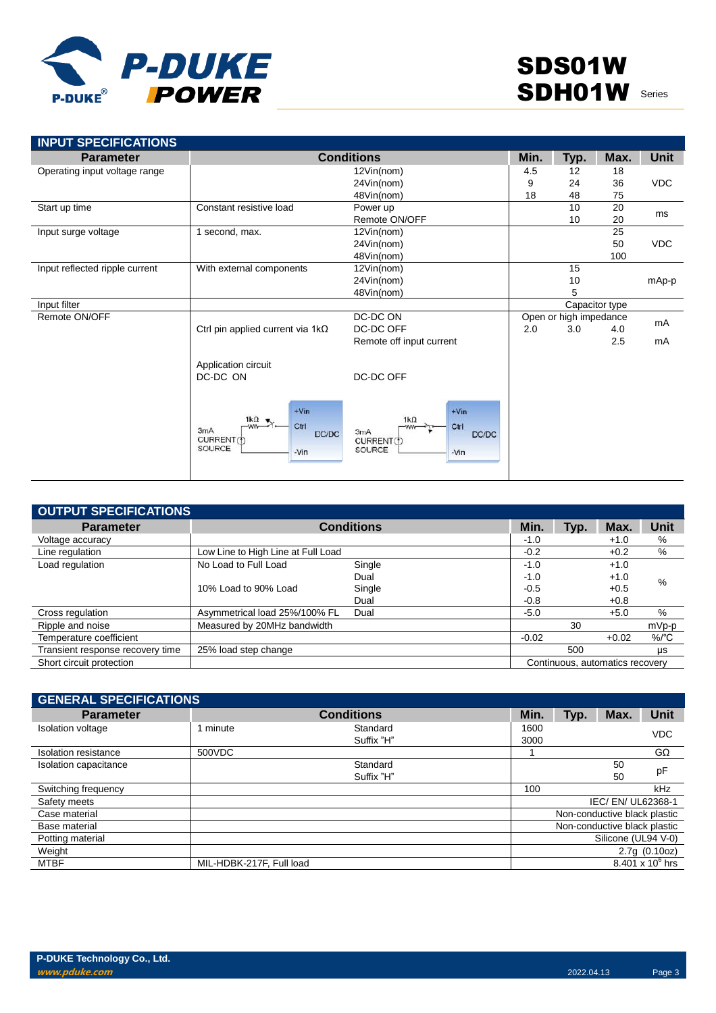

| <b>INPUT SPECIFICATIONS</b><br><b>Parameter</b> |                                                                                        | <b>Conditions</b>                                                                        | Min. | Typ.                   | Max.           | <b>Unit</b> |
|-------------------------------------------------|----------------------------------------------------------------------------------------|------------------------------------------------------------------------------------------|------|------------------------|----------------|-------------|
| Operating input voltage range                   |                                                                                        | 12Vin(nom)                                                                               | 4.5  | $12 \overline{ }$      | 18             |             |
|                                                 | 24Vin(nom)                                                                             |                                                                                          | 9    | 24                     | 36             | <b>VDC</b>  |
|                                                 | 48Vin(nom)                                                                             |                                                                                          |      | 48                     | 75             |             |
| Start up time                                   | Constant resistive load                                                                | Power up                                                                                 | 18   | 10                     | 20             |             |
|                                                 |                                                                                        | Remote ON/OFF                                                                            |      | 10                     | 20             | ms          |
| Input surge voltage                             | 1 second, max.                                                                         | 12Vin(nom)                                                                               |      |                        | 25             |             |
|                                                 |                                                                                        | 24Vin(nom)                                                                               |      |                        | 50             | <b>VDC</b>  |
|                                                 |                                                                                        | 48Vin(nom)                                                                               |      |                        | 100            |             |
| Input reflected ripple current                  | With external components                                                               | 12Vin(nom)                                                                               |      | 15                     |                |             |
|                                                 |                                                                                        | 24Vin(nom)                                                                               |      | 10                     |                | mAp-p       |
|                                                 |                                                                                        | 48Vin(nom)                                                                               |      | 5                      |                |             |
| Input filter                                    |                                                                                        |                                                                                          |      |                        | Capacitor type |             |
| Remote ON/OFF                                   |                                                                                        | DC-DC ON                                                                                 |      | Open or high impedance |                |             |
|                                                 | Ctrl pin applied current via 1kΩ                                                       | DC-DC OFF                                                                                | 2.0  | 3.0                    | 4.0            | mA          |
|                                                 |                                                                                        | Remote off input current                                                                 |      |                        | 2.5            | mA          |
|                                                 | Application circuit                                                                    |                                                                                          |      |                        |                |             |
|                                                 | DC-DC ON                                                                               | DC-DC OFF                                                                                |      |                        |                |             |
|                                                 | $+V$ in<br>$1k\Omega$<br>Ctrl<br>-ww<br>3mA<br>DC/DC<br>CURRENT(1)<br>SOURCE<br>$-Vin$ | $+V$ in<br>$1k\Omega$<br>Ctrl<br>-ww-<br>3mA<br>DC/DC<br>CURRENT (f)<br>SOURCE<br>$-Vin$ |      |                        |                |             |

| OUTPUT SPECIFICATIONS            |                                    |                   |         |                                 |         |             |
|----------------------------------|------------------------------------|-------------------|---------|---------------------------------|---------|-------------|
| <b>Parameter</b>                 |                                    | <b>Conditions</b> | Min.    | Typ.                            | Max.    | <b>Unit</b> |
| Voltage accuracy                 |                                    |                   | $-1.0$  |                                 | $+1.0$  | %           |
| Line regulation                  | Low Line to High Line at Full Load |                   | $-0.2$  |                                 | $+0.2$  | %           |
| Load regulation                  | No Load to Full Load               | Single            | $-1.0$  |                                 | $+1.0$  |             |
|                                  |                                    | Dual              | $-1.0$  |                                 | $+1.0$  | %           |
|                                  | 10% Load to 90% Load               | Single            | $-0.5$  |                                 | $+0.5$  |             |
|                                  |                                    | Dual              | $-0.8$  |                                 | $+0.8$  |             |
| Cross regulation                 | Asymmetrical load 25%/100% FL      | Dual              | $-5.0$  |                                 | $+5.0$  | %           |
| Ripple and noise                 | Measured by 20MHz bandwidth        |                   |         | 30                              |         | mVp-p       |
| Temperature coefficient          |                                    |                   | $-0.02$ |                                 | $+0.02$ | $%$ /°C     |
| Transient response recovery time | 25% load step change               |                   |         | 500                             |         | μs          |
| Short circuit protection         |                                    |                   |         | Continuous, automatics recovery |         |             |

| <b>GENERAL SPECIFICATIONS</b> |                          |                   |      |      |                              |                    |  |
|-------------------------------|--------------------------|-------------------|------|------|------------------------------|--------------------|--|
| <b>Parameter</b>              |                          | <b>Conditions</b> | Min. | Typ. | Max.                         | <b>Unit</b>        |  |
| Isolation voltage             | 1 minute                 | Standard          | 1600 |      |                              | <b>VDC</b>         |  |
|                               |                          | Suffix "H"        | 3000 |      |                              |                    |  |
| Isolation resistance          | 500VDC                   |                   |      |      |                              | $G\Omega$          |  |
| Isolation capacitance         |                          | Standard          |      |      | 50                           | pF                 |  |
|                               |                          | Suffix "H"        |      |      | 50                           |                    |  |
| Switching frequency           |                          |                   | 100  |      |                              | kHz                |  |
| Safety meets                  |                          |                   |      |      | IEC/EN/UL62368-1             |                    |  |
| Case material                 |                          |                   |      |      | Non-conductive black plastic |                    |  |
| Base material                 |                          |                   |      |      | Non-conductive black plastic |                    |  |
| Potting material              |                          |                   |      |      | Silicone (UL94 V-0)          |                    |  |
| Weight                        |                          |                   |      |      |                              | 2.7q(0.10oz)       |  |
| <b>MTBF</b>                   | MIL-HDBK-217F, Full load |                   |      |      |                              | 8.401 x $10^6$ hrs |  |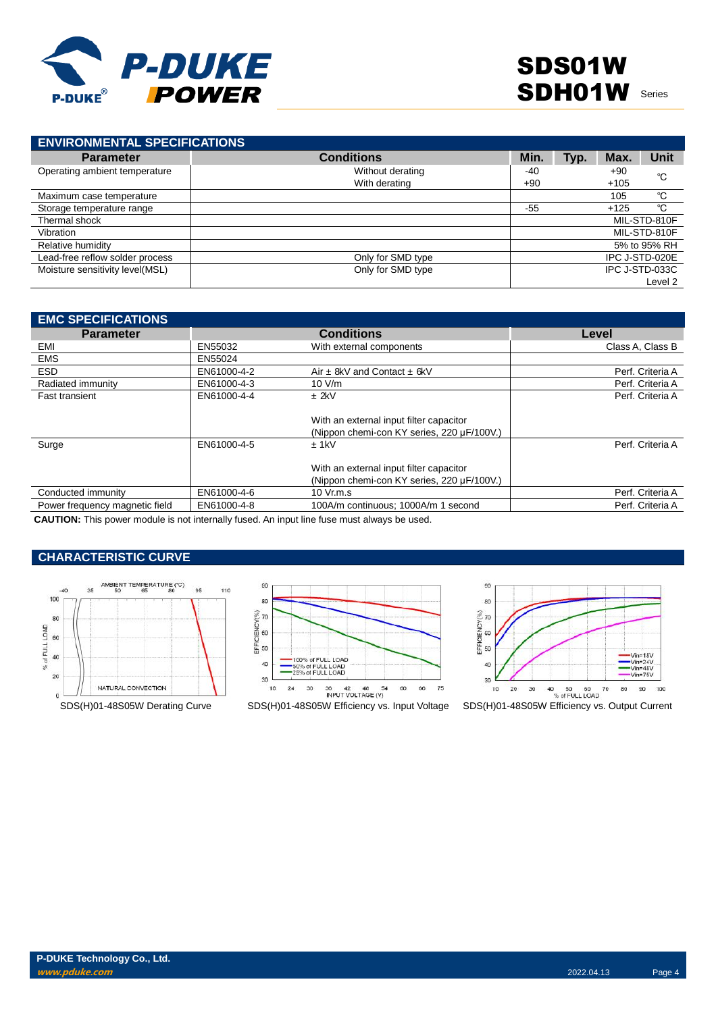

| <b>ENVIRONMENTAL SPECIFICATIONS</b> |                   |       |      |        |                |
|-------------------------------------|-------------------|-------|------|--------|----------------|
| <b>Parameter</b>                    | <b>Conditions</b> | Min.  | Typ. | Max.   | Unit           |
| Operating ambient temperature       | Without derating  | -40   |      | $+90$  | °C             |
|                                     | With derating     | $+90$ |      | $+105$ |                |
| Maximum case temperature            |                   |       |      | 105    | °C             |
| Storage temperature range           |                   | $-55$ |      | $+125$ | °C             |
| Thermal shock                       |                   |       |      |        | MIL-STD-810F   |
| Vibration                           |                   |       |      |        | MIL-STD-810F   |
| Relative humidity                   |                   |       |      |        | 5% to 95% RH   |
| Lead-free reflow solder process     | Only for SMD type |       |      |        | IPC J-STD-020E |
| Moisture sensitivity level(MSL)     | Only for SMD type |       |      |        | IPC J-STD-033C |
|                                     |                   |       |      |        | Level 2        |

| <b>EMC SPECIFICATIONS</b>      |             |                                            |                  |
|--------------------------------|-------------|--------------------------------------------|------------------|
| <b>Parameter</b>               |             | <b>Conditions</b>                          | Level            |
| EMI                            | EN55032     | With external components                   | Class A. Class B |
| <b>EMS</b>                     | EN55024     |                                            |                  |
| <b>ESD</b>                     | EN61000-4-2 | Air $\pm$ 8kV and Contact $\pm$ 6kV        | Perf. Criteria A |
| Radiated immunity              | EN61000-4-3 | 10 V/m                                     | Perf. Criteria A |
| <b>Fast transient</b>          | EN61000-4-4 | $±$ 2kV                                    | Perf. Criteria A |
|                                |             |                                            |                  |
|                                |             | With an external input filter capacitor    |                  |
|                                |             | (Nippon chemi-con KY series, 220 µF/100V.) |                  |
| Surge                          | EN61000-4-5 | $±$ 1kV                                    | Perf. Criteria A |
|                                |             |                                            |                  |
|                                |             | With an external input filter capacitor    |                  |
|                                |             | (Nippon chemi-con KY series, 220 µF/100V.) |                  |
| Conducted immunity             | EN61000-4-6 | 10 Vr.m.s                                  | Perf. Criteria A |
| Power frequency magnetic field | EN61000-4-8 | 100A/m continuous: 1000A/m 1 second        | Perf. Criteria A |

**CAUTION:** This power module is not internally fused. An input line fuse must always be used.

# **CHARACTERISTIC CURVE**







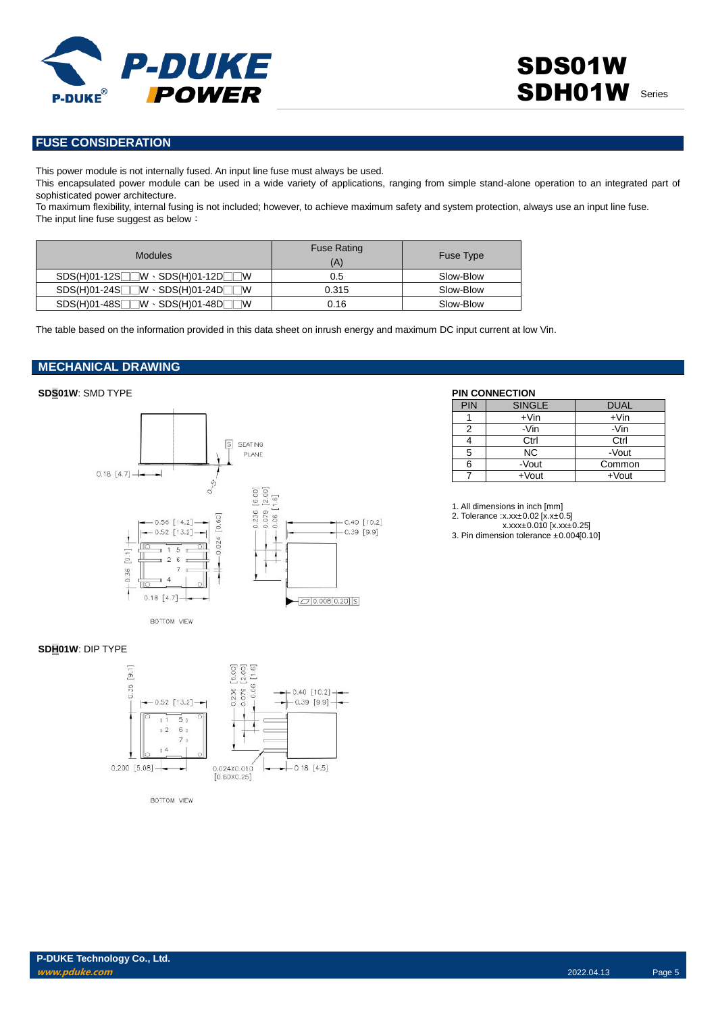

# **FUSE CONSIDERATION**

This power module is not internally fused. An input line fuse must always be used.

This encapsulated power module can be used in a wide variety of applications, ranging from simple stand-alone operation to an integrated part of sophisticated power architecture.

To maximum flexibility, internal fusing is not included; however, to achieve maximum safety and system protection, always use an input line fuse. The input line fuse suggest as below:

| <b>Modules</b>                              | <b>Fuse Rating</b><br>(A) | Fuse Type |
|---------------------------------------------|---------------------------|-----------|
| $SDS(H)01-12S$ $W \cdot SDS(H)01-12D$<br>1W | 0.5                       | Slow-Blow |
| $SDS(H)01-24S$ $W \cdot SDS(H)01-24D$<br>۱W | 0.315                     | Slow-Blow |
| $SDS(H)01-48S$ $W \cdot SDS(H)01-48D$<br>W  | 0.16                      | Slow-Blow |

The table based on the information provided in this data sheet on inrush energy and maximum DC input current at low Vin.

# **MECHANICAL DRAWING**

## **SDS01W**: SMD TYPE **PIN CONNECTION**



| PIN | <b>SINGLE</b> | <b>DUAL</b> |
|-----|---------------|-------------|
|     | $+V$ in       | $+V$ in     |
| 2   | -Vin          | -Vin        |
|     | Ctrl          | Ctrl        |
| 5   | NC.           | -Vout       |
| 6   | -Vout         | Common      |
|     | $+$ Vout      | $+$ Vout    |

1. All dimensions in inch [mm]

2. Tolerance :x.xx±0.02 [x.x±0.5]

x.xxx±0.010 [x.xx±0.25]

3. Pin dimension tolerance ±0.004[0.10]

#### **SDH01W**: DIP TYPE



BOTTOM VIEW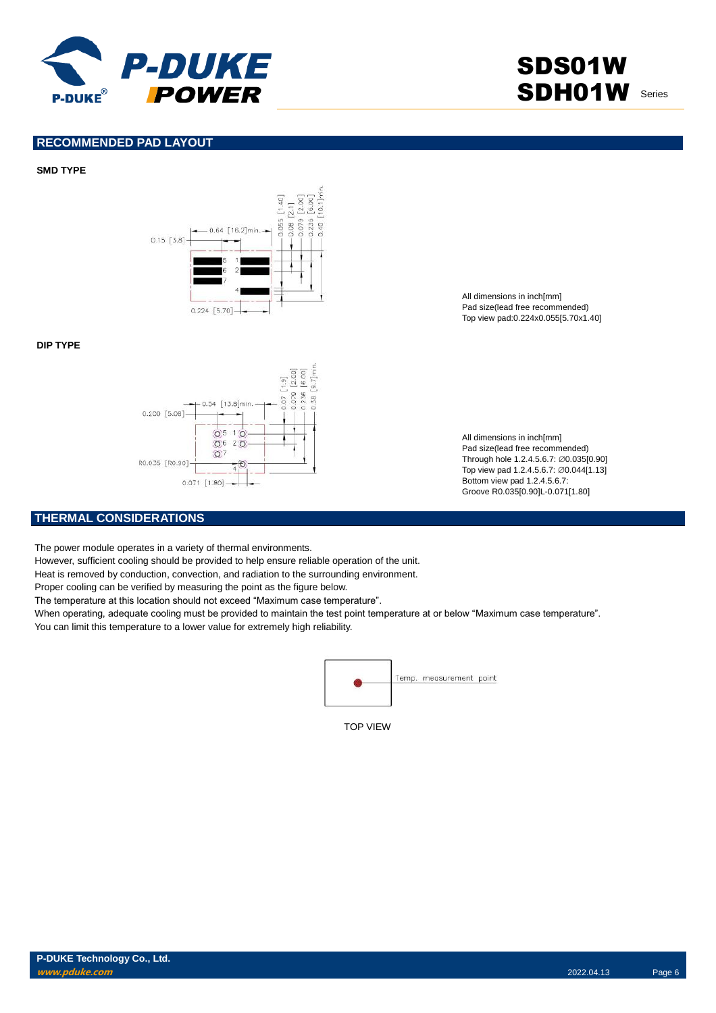

SDS01W SDH01W Series

# **RECOMMENDED PAD LAYOUT**

### **SMD TYPE**



#### **DIP TYPE**



All dimensions in inch[mm] Pad size(lead free recommended) Top view pad:0.224x0.055[5.70x1.40]

All dimensions in inch[mm] Pad size(lead free recommended) Through hole 1.2.4.5.6.7: ∅0.035[0.90] Top view pad 1.2.4.5.6.7: ∅0.044[1.13] Bottom view pad 1.2.4.5.6.7: Groove R0.035[0.90]L-0.071[1.80]

# **THERMAL CONSIDERATIONS**

The power module operates in a variety of thermal environments.

However, sufficient cooling should be provided to help ensure reliable operation of the unit.

Heat is removed by conduction, convection, and radiation to the surrounding environment.

Proper cooling can be verified by measuring the point as the figure below.

The temperature at this location should not exceed "Maximum case temperature".

When operating, adequate cooling must be provided to maintain the test point temperature at or below "Maximum case temperature". You can limit this temperature to a lower value for extremely high reliability.



TOP VIEW